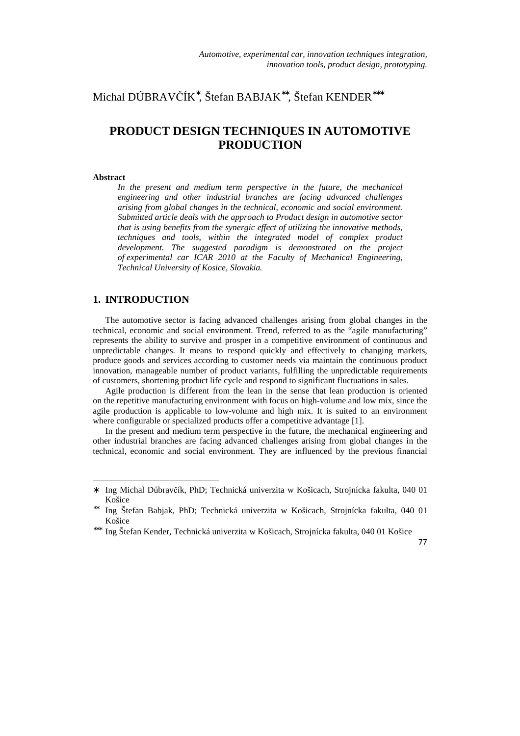# Michal DÚBRAVČÍK\*, Štefan BABJAK\*\*, Štefan KENDER\*\*\*

# **PRODUCT DESIGN TECHNIQUES IN AUTOMOTIVE PRODUCTION**

### **Abstract**

 $\overline{a}$ 

*In the present and medium term perspective in the future, the mechanical engineering and other industrial branches are facing advanced challenges arising from global changes in the technical, economic and social environment. Submitted article deals with the approach to Product design in automotive sector that is using benefits from the synergic effect of utilizing the innovative methods, techniques and tools, within the integrated model of complex product development. The suggested paradigm is demonstrated on the project of experimental car ICAR 2010 at the Faculty of Mechanical Engineering, Technical University of Kosice, Slovakia.* 

## **1. INTRODUCTION**

The automotive sector is facing advanced challenges arising from global changes in the technical, economic and social environment. Trend, referred to as the "agile manufacturing" represents the ability to survive and prosper in a competitive environment of continuous and unpredictable changes. It means to respond quickly and effectively to changing markets, produce goods and services according to customer needs via maintain the continuous product innovation, manageable number of product variants, fulfilling the unpredictable requirements of customers, shortening product life cycle and respond to significant fluctuations in sales.

Agile production is different from the lean in the sense that lean production is oriented on the repetitive manufacturing environment with focus on high-volume and low mix, since the agile production is applicable to low-volume and high mix. It is suited to an environment where configurable or specialized products offer a competitive advantage [1].

In the present and medium term perspective in the future, the mechanical engineering and other industrial branches are facing advanced challenges arising from global changes in the technical, economic and social environment. They are influenced by the previous financial

<sup>∗</sup> Ing Michal Dúbravčík, PhD; Technická univerzita w Košicach, Strojnícka fakulta, 040 01 Košice

<sup>∗∗</sup> Ing Štefan Babjak, PhD; Technická univerzita w Košicach, Strojnícka fakulta, 040 01 Košice

<sup>∗∗∗</sup> Ing Štefan Kender, Technická univerzita w Košicach, Strojnícka fakulta, 040 01 Košice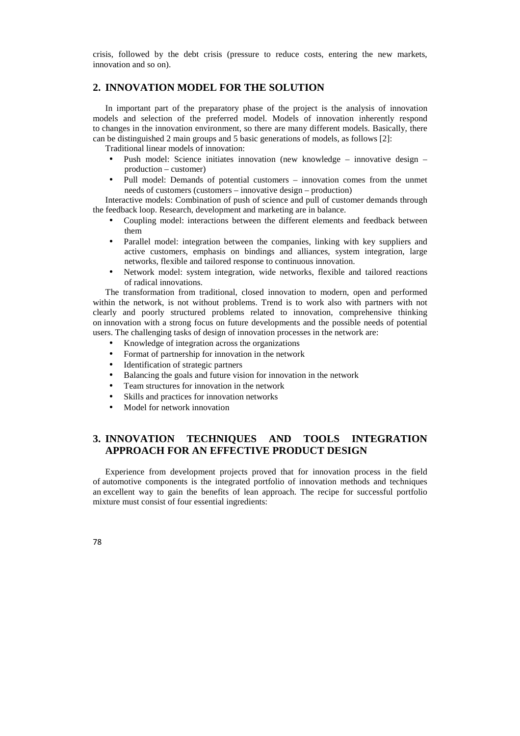crisis, followed by the debt crisis (pressure to reduce costs, entering the new markets, innovation and so on).

## **2. INNOVATION MODEL FOR THE SOLUTION**

In important part of the preparatory phase of the project is the analysis of innovation models and selection of the preferred model. Models of innovation inherently respond to changes in the innovation environment, so there are many different models. Basically, there can be distinguished 2 main groups and 5 basic generations of models, as follows [2]:

Traditional linear models of innovation:

- Push model: Science initiates innovation (new knowledge innovative design production – customer)
- Pull model: Demands of potential customers innovation comes from the unmet needs of customers (customers – innovative design – production)

Interactive models: Combination of push of science and pull of customer demands through the feedback loop. Research, development and marketing are in balance.

- Coupling model: interactions between the different elements and feedback between them
- Parallel model: integration between the companies, linking with key suppliers and active customers, emphasis on bindings and alliances, system integration, large networks, flexible and tailored response to continuous innovation.
- Network model: system integration, wide networks, flexible and tailored reactions of radical innovations.

The transformation from traditional, closed innovation to modern, open and performed within the network, is not without problems. Trend is to work also with partners with not clearly and poorly structured problems related to innovation, comprehensive thinking on innovation with a strong focus on future developments and the possible needs of potential users. The challenging tasks of design of innovation processes in the network are:

- Knowledge of integration across the organizations
- Format of partnership for innovation in the network
- Identification of strategic partners
- Balancing the goals and future vision for innovation in the network
- Team structures for innovation in the network
- Skills and practices for innovation networks
- Model for network innovation

# **3. INNOVATION TECHNIQUES AND TOOLS INTEGRATION APPROACH FOR AN EFFECTIVE PRODUCT DESIGN**

Experience from development projects proved that for innovation process in the field of automotive components is the integrated portfolio of innovation methods and techniques an excellent way to gain the benefits of lean approach. The recipe for successful portfolio mixture must consist of four essential ingredients: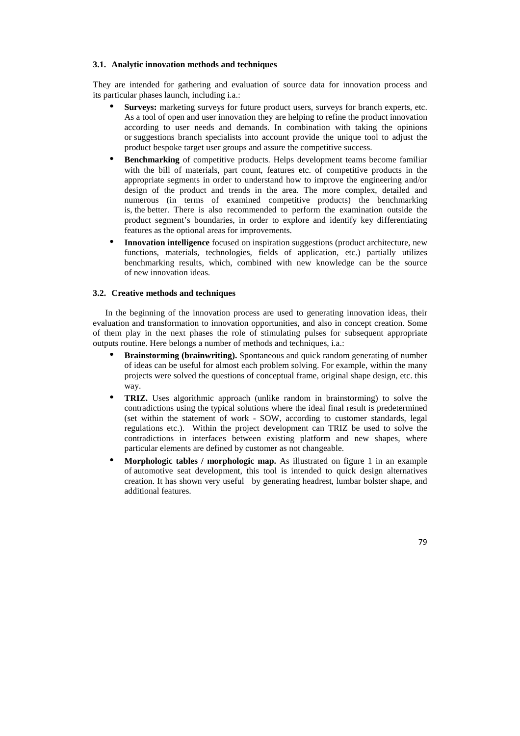### **3.1. Analytic innovation methods and techniques**

They are intended for gathering and evaluation of source data for innovation process and its particular phases launch, including i.a.:

- **Surveys:** marketing surveys for future product users, surveys for branch experts, etc. As a tool of open and user innovation they are helping to refine the product innovation according to user needs and demands. In combination with taking the opinions or suggestions branch specialists into account provide the unique tool to adjust the product bespoke target user groups and assure the competitive success.
- **Benchmarking** of competitive products. Helps development teams become familiar with the bill of materials, part count, features etc. of competitive products in the appropriate segments in order to understand how to improve the engineering and/or design of the product and trends in the area. The more complex, detailed and numerous (in terms of examined competitive products) the benchmarking is, the better. There is also recommended to perform the examination outside the product segment's boundaries, in order to explore and identify key differentiating features as the optional areas for improvements.
- **Innovation intelligence** focused on inspiration suggestions (product architecture, new functions, materials, technologies, fields of application, etc.) partially utilizes benchmarking results, which, combined with new knowledge can be the source of new innovation ideas.

#### **3.2. Creative methods and techniques**

In the beginning of the innovation process are used to generating innovation ideas, their evaluation and transformation to innovation opportunities, and also in concept creation. Some of them play in the next phases the role of stimulating pulses for subsequent appropriate outputs routine. Here belongs a number of methods and techniques, i.a.:

- **Brainstorming (brainwriting).** Spontaneous and quick random generating of number of ideas can be useful for almost each problem solving. For example, within the many projects were solved the questions of conceptual frame, original shape design, etc. this way.
- **TRIZ.** Uses algorithmic approach (unlike random in brainstorming) to solve the contradictions using the typical solutions where the ideal final result is predetermined (set within the statement of work - SOW, according to customer standards, legal regulations etc.). Within the project development can TRIZ be used to solve the contradictions in interfaces between existing platform and new shapes, where particular elements are defined by customer as not changeable.
- **Morphologic tables / morphologic map.** As illustrated on figure 1 in an example of automotive seat development, this tool is intended to quick design alternatives creation. It has shown very useful by generating headrest, lumbar bolster shape, and additional features.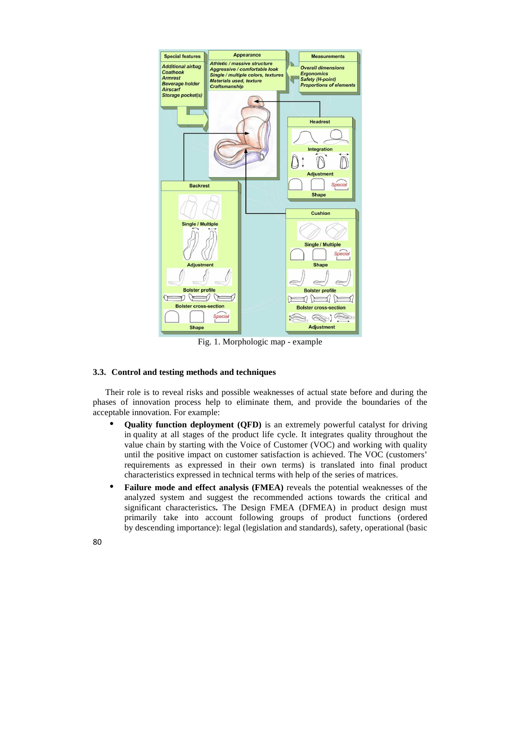

Fig. 1. Morphologic map - example

### **3.3. Control and testing methods and techniques**

Their role is to reveal risks and possible weaknesses of actual state before and during the phases of innovation process help to eliminate them, and provide the boundaries of the acceptable innovation. For example:

- **Quality function deployment (QFD)** is an extremely powerful catalyst for driving in quality at all stages of the product life cycle. It integrates quality throughout the value chain by starting with the Voice of Customer (VOC) and working with quality until the positive impact on customer satisfaction is achieved. The VOC (customers' requirements as expressed in their own terms) is translated into final product characteristics expressed in technical terms with help of the series of matrices.
- **Failure mode and effect analysis (FMEA)** reveals the potential weaknesses of the analyzed system and suggest the recommended actions towards the critical and significant characteristics**.** The Design FMEA (DFMEA) in product design must primarily take into account following groups of product functions (ordered by descending importance): legal (legislation and standards), safety, operational (basic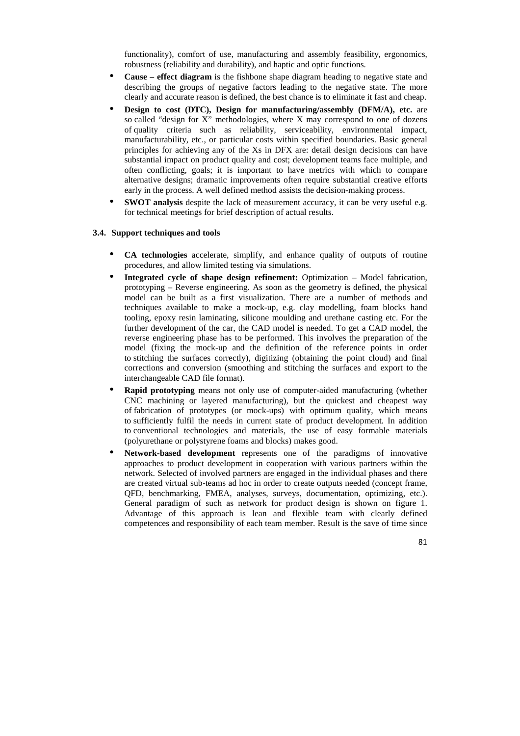functionality), comfort of use, manufacturing and assembly feasibility, ergonomics, robustness (reliability and durability), and haptic and optic functions.

- **Cause effect diagram** is the fishbone shape diagram heading to negative state and describing the groups of negative factors leading to the negative state. The more clearly and accurate reason is defined, the best chance is to eliminate it fast and cheap.
- **Design to cost (DTC), Design for manufacturing/assembly (DFM/A), etc.** are so called "design for X" methodologies, where X may correspond to one of dozens of quality criteria such as reliability, serviceability, environmental impact, manufacturability, etc., or particular costs within specified boundaries. Basic general principles for achieving any of the Xs in DFX are: detail design decisions can have substantial impact on product quality and cost; development teams face multiple, and often conflicting, goals; it is important to have metrics with which to compare alternative designs; dramatic improvements often require substantial creative efforts early in the process. A well defined method assists the decision-making process.
- **SWOT analysis** despite the lack of measurement accuracy, it can be very useful e.g. for technical meetings for brief description of actual results.

### **3.4. Support techniques and tools**

- **CA technologies** accelerate, simplify, and enhance quality of outputs of routine procedures, and allow limited testing via simulations.
- **Integrated cycle of shape design refinement:** Optimization Model fabrication, prototyping – Reverse engineering. As soon as the geometry is defined, the physical model can be built as a first visualization. There are a number of methods and techniques available to make a mock-up, e.g. clay modelling, foam blocks hand tooling, epoxy resin laminating, silicone moulding and urethane casting etc. For the further development of the car, the CAD model is needed. To get a CAD model, the reverse engineering phase has to be performed. This involves the preparation of the model (fixing the mock-up and the definition of the reference points in order to stitching the surfaces correctly), digitizing (obtaining the point cloud) and final corrections and conversion (smoothing and stitching the surfaces and export to the interchangeable CAD file format).
- **Rapid prototyping** means not only use of computer-aided manufacturing (whether CNC machining or layered manufacturing), but the quickest and cheapest way of fabrication of prototypes (or mock-ups) with optimum quality, which means to sufficiently fulfil the needs in current state of product development. In addition to conventional technologies and materials, the use of easy formable materials (polyurethane or polystyrene foams and blocks) makes good.
- **Network-based development** represents one of the paradigms of innovative approaches to product development in cooperation with various partners within the network. Selected of involved partners are engaged in the individual phases and there are created virtual sub-teams ad hoc in order to create outputs needed (concept frame, QFD, benchmarking, FMEA, analyses, surveys, documentation, optimizing, etc.). General paradigm of such as network for product design is shown on figure 1. Advantage of this approach is lean and flexible team with clearly defined competences and responsibility of each team member. Result is the save of time since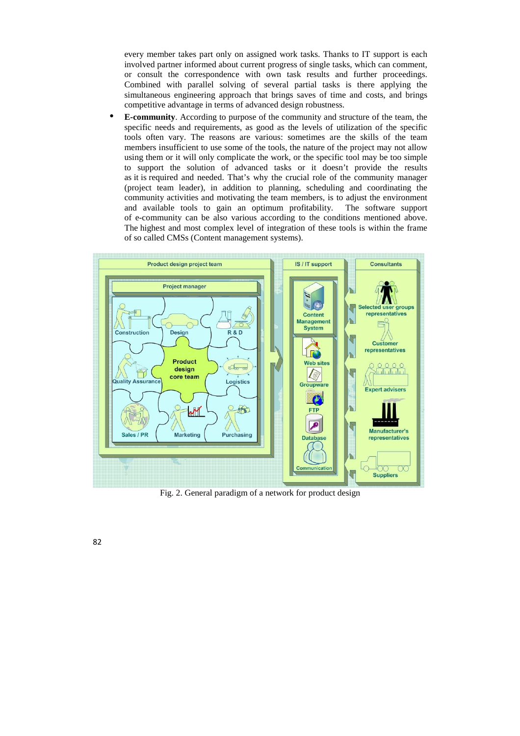every member takes part only on assigned work tasks. Thanks to IT support is each involved partner informed about current progress of single tasks, which can comment, or consult the correspondence with own task results and further proceedings. Combined with parallel solving of several partial tasks is there applying the simultaneous engineering approach that brings saves of time and costs, and brings competitive advantage in terms of advanced design robustness.

• **E-community**. According to purpose of the community and structure of the team, the specific needs and requirements, as good as the levels of utilization of the specific tools often vary. The reasons are various: sometimes are the skills of the team members insufficient to use some of the tools, the nature of the project may not allow using them or it will only complicate the work, or the specific tool may be too simple to support the solution of advanced tasks or it doesn't provide the results as it is required and needed. That's why the crucial role of the community manager (project team leader), in addition to planning, scheduling and coordinating the community activities and motivating the team members, is to adjust the environment and available tools to gain an optimum profitability. The software support of e-community can be also various according to the conditions mentioned above. The highest and most complex level of integration of these tools is within the frame of so called CMSs (Content management systems).



Fig. 2. General paradigm of a network for product design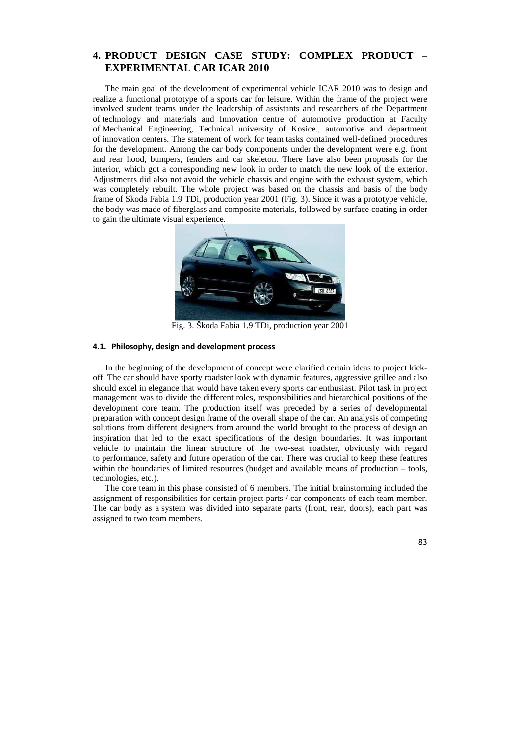# **4. PRODUCT DESIGN CASE STUDY: COMPLEX PRODUCT – EXPERIMENTAL CAR ICAR 2010**

The main goal of the development of experimental vehicle ICAR 2010 was to design and realize a functional prototype of a sports car for leisure. Within the frame of the project were involved student teams under the leadership of assistants and researchers of the Department of technology and materials and Innovation centre of automotive production at Faculty of Mechanical Engineering, Technical university of Kosice., automotive and department of innovation centers. The statement of work for team tasks contained well-defined procedures for the development. Among the car body components under the development were e.g. front and rear hood, bumpers, fenders and car skeleton. There have also been proposals for the interior, which got a corresponding new look in order to match the new look of the exterior. Adjustments did also not avoid the vehicle chassis and engine with the exhaust system, which was completely rebuilt. The whole project was based on the chassis and basis of the body frame of Skoda Fabia 1.9 TDi, production year 2001 (Fig. 3). Since it was a prototype vehicle, the body was made of fiberglass and composite materials, followed by surface coating in order to gain the ultimate visual experience.



Fig. 3. Škoda Fabia 1.9 TDi, production year 2001

#### **4.1. Philosophy, design and development process**

In the beginning of the development of concept were clarified certain ideas to project kickoff. The car should have sporty roadster look with dynamic features, aggressive grillee and also should excel in elegance that would have taken every sports car enthusiast. Pilot task in project management was to divide the different roles, responsibilities and hierarchical positions of the development core team. The production itself was preceded by a series of developmental preparation with concept design frame of the overall shape of the car. An analysis of competing solutions from different designers from around the world brought to the process of design an inspiration that led to the exact specifications of the design boundaries. It was important vehicle to maintain the linear structure of the two-seat roadster, obviously with regard to performance, safety and future operation of the car. There was crucial to keep these features within the boundaries of limited resources (budget and available means of production – tools, technologies, etc.).

The core team in this phase consisted of 6 members. The initial brainstorming included the assignment of responsibilities for certain project parts / car components of each team member. The car body as a system was divided into separate parts (front, rear, doors), each part was assigned to two team members.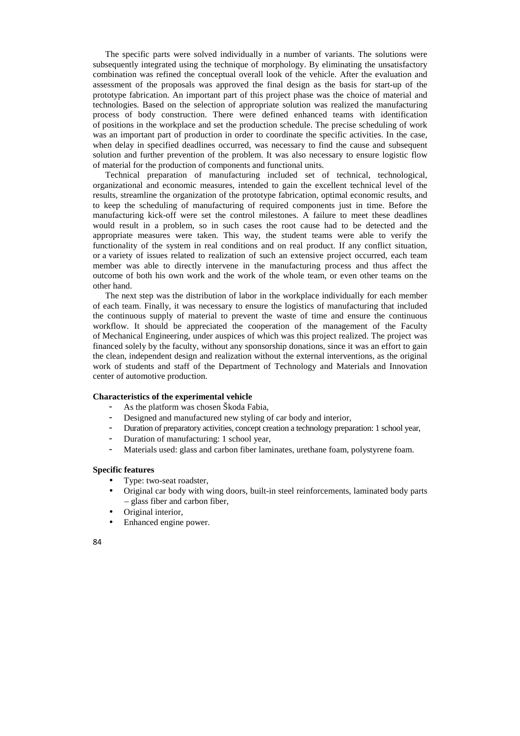The specific parts were solved individually in a number of variants. The solutions were subsequently integrated using the technique of morphology. By eliminating the unsatisfactory combination was refined the conceptual overall look of the vehicle. After the evaluation and assessment of the proposals was approved the final design as the basis for start-up of the prototype fabrication. An important part of this project phase was the choice of material and technologies. Based on the selection of appropriate solution was realized the manufacturing process of body construction. There were defined enhanced teams with identification of positions in the workplace and set the production schedule. The precise scheduling of work was an important part of production in order to coordinate the specific activities. In the case, when delay in specified deadlines occurred, was necessary to find the cause and subsequent solution and further prevention of the problem. It was also necessary to ensure logistic flow of material for the production of components and functional units.

Technical preparation of manufacturing included set of technical, technological, organizational and economic measures, intended to gain the excellent technical level of the results, streamline the organization of the prototype fabrication, optimal economic results, and to keep the scheduling of manufacturing of required components just in time. Before the manufacturing kick-off were set the control milestones. A failure to meet these deadlines would result in a problem, so in such cases the root cause had to be detected and the appropriate measures were taken. This way, the student teams were able to verify the functionality of the system in real conditions and on real product. If any conflict situation, or a variety of issues related to realization of such an extensive project occurred, each team member was able to directly intervene in the manufacturing process and thus affect the outcome of both his own work and the work of the whole team, or even other teams on the other hand.

The next step was the distribution of labor in the workplace individually for each member of each team. Finally, it was necessary to ensure the logistics of manufacturing that included the continuous supply of material to prevent the waste of time and ensure the continuous workflow. It should be appreciated the cooperation of the management of the Faculty of Mechanical Engineering, under auspices of which was this project realized. The project was financed solely by the faculty, without any sponsorship donations, since it was an effort to gain the clean, independent design and realization without the external interventions, as the original work of students and staff of the Department of Technology and Materials and Innovation center of automotive production.

### **Characteristics of the experimental vehicle**

- As the platform was chosen Škoda Fabia,
- Designed and manufactured new styling of car body and interior,
- Duration of preparatory activities, concept creation a technology preparation: 1 school year,
- Duration of manufacturing: 1 school year,
- Materials used: glass and carbon fiber laminates, urethane foam, polystyrene foam.

#### **Specific features**

- Type: two-seat roadster,
- Original car body with wing doors, built-in steel reinforcements, laminated body parts – glass fiber and carbon fiber,
- Original interior,
- Enhanced engine power.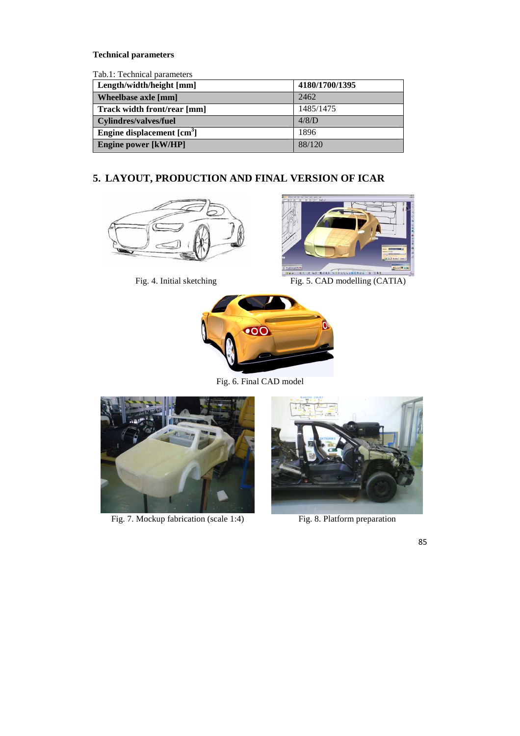**Technical parameters**

| Tab.1: Technical parameters  |                |
|------------------------------|----------------|
| Length/width/height [mm]     | 4180/1700/1395 |
| Wheelbase axle [mm]          | 2462           |
| Track width front/rear [mm]  | 1485/1475      |
| <b>Cylindres/valves/fuel</b> | 4/8/D          |
| Engine displacement $[cm3]$  | 1896           |
| <b>Engine power [kW/HP]</b>  | 88/120         |

# **5. LAYOUT, PRODUCTION AND FINAL VERSION OF ICAR**





Fig. 4. Initial sketching Fig. 5. CAD modelling (CATIA)



Fig. 6. Final CAD model



Fig. 7. Mockup fabrication (scale 1:4) Fig. 8. Platform preparation



85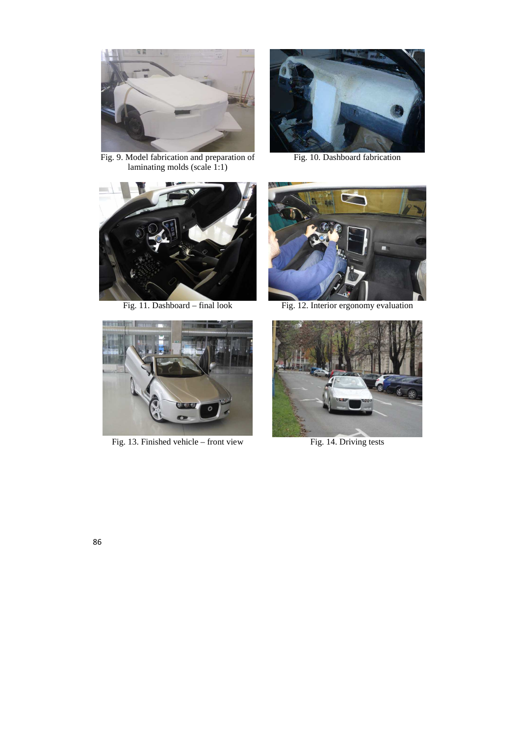

Fig. 9. Model fabrication and preparation of laminating molds (scale 1:1)



Fig. 10. Dashboard fabrication





Fig. 13. Finished vehicle – front view Fig. 14. Driving tests



Fig. 11. Dashboard – final look Fig. 12. Interior ergonomy evaluation

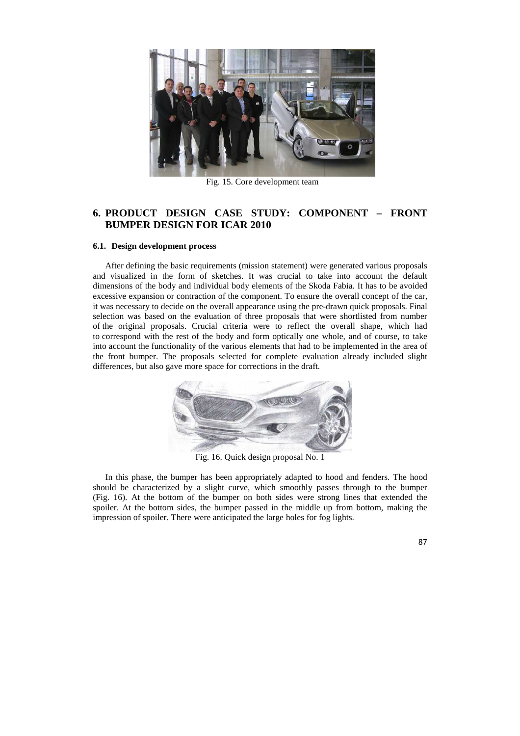

Fig. 15. Core development team

# **6. PRODUCT DESIGN CASE STUDY: COMPONENT – FRONT BUMPER DESIGN FOR ICAR 2010**

### **6.1. Design development process**

After defining the basic requirements (mission statement) were generated various proposals and visualized in the form of sketches. It was crucial to take into account the default dimensions of the body and individual body elements of the Skoda Fabia. It has to be avoided excessive expansion or contraction of the component. To ensure the overall concept of the car, it was necessary to decide on the overall appearance using the pre-drawn quick proposals. Final selection was based on the evaluation of three proposals that were shortlisted from number of the original proposals. Crucial criteria were to reflect the overall shape, which had to correspond with the rest of the body and form optically one whole, and of course, to take into account the functionality of the various elements that had to be implemented in the area of the front bumper. The proposals selected for complete evaluation already included slight differences, but also gave more space for corrections in the draft.



Fig. 16. Quick design proposal No. 1

In this phase, the bumper has been appropriately adapted to hood and fenders. The hood should be characterized by a slight curve, which smoothly passes through to the bumper (Fig. 16). At the bottom of the bumper on both sides were strong lines that extended the spoiler. At the bottom sides, the bumper passed in the middle up from bottom, making the impression of spoiler. There were anticipated the large holes for fog lights.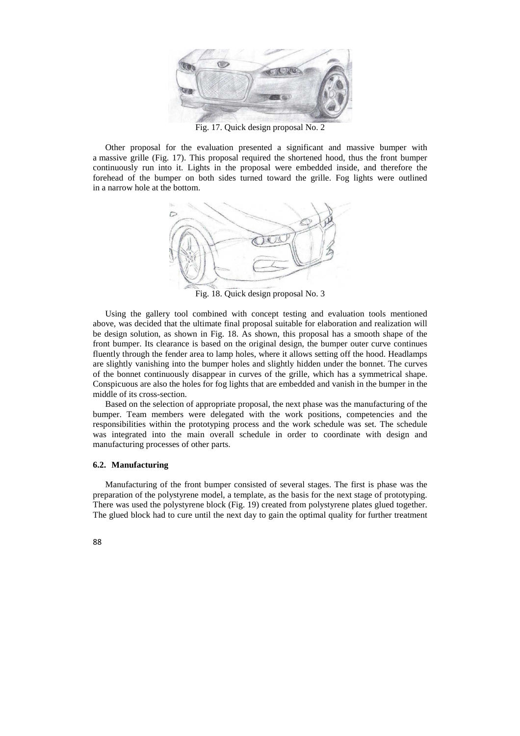

Fig. 17. Quick design proposal No. 2

Other proposal for the evaluation presented a significant and massive bumper with a massive grille (Fig. 17). This proposal required the shortened hood, thus the front bumper continuously run into it. Lights in the proposal were embedded inside, and therefore the forehead of the bumper on both sides turned toward the grille. Fog lights were outlined in a narrow hole at the bottom.



Fig. 18. Quick design proposal No. 3

Using the gallery tool combined with concept testing and evaluation tools mentioned above, was decided that the ultimate final proposal suitable for elaboration and realization will be design solution, as shown in Fig. 18. As shown, this proposal has a smooth shape of the front bumper. Its clearance is based on the original design, the bumper outer curve continues fluently through the fender area to lamp holes, where it allows setting off the hood. Headlamps are slightly vanishing into the bumper holes and slightly hidden under the bonnet. The curves of the bonnet continuously disappear in curves of the grille, which has a symmetrical shape. Conspicuous are also the holes for fog lights that are embedded and vanish in the bumper in the middle of its cross-section.

Based on the selection of appropriate proposal, the next phase was the manufacturing of the bumper. Team members were delegated with the work positions, competencies and the responsibilities within the prototyping process and the work schedule was set. The schedule was integrated into the main overall schedule in order to coordinate with design and manufacturing processes of other parts.

### **6.2. Manufacturing**

Manufacturing of the front bumper consisted of several stages. The first is phase was the preparation of the polystyrene model, a template, as the basis for the next stage of prototyping. There was used the polystyrene block (Fig. 19) created from polystyrene plates glued together. The glued block had to cure until the next day to gain the optimal quality for further treatment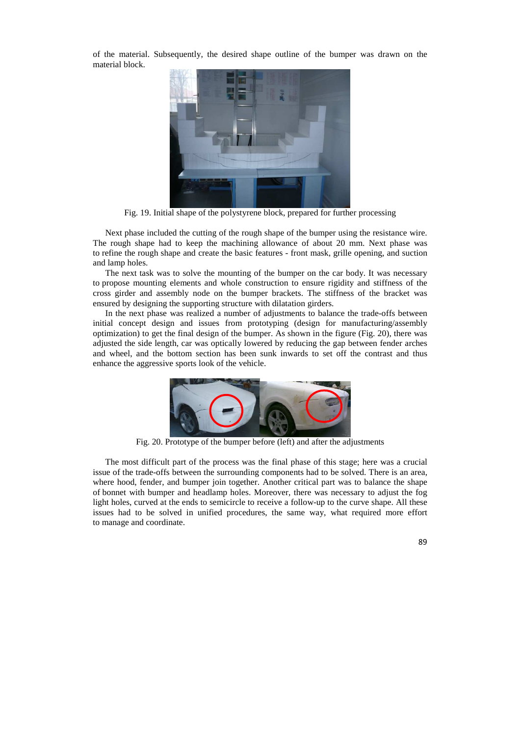of the material. Subsequently, the desired shape outline of the bumper was drawn on the material block.



Fig. 19. Initial shape of the polystyrene block, prepared for further processing

Next phase included the cutting of the rough shape of the bumper using the resistance wire. The rough shape had to keep the machining allowance of about 20 mm. Next phase was to refine the rough shape and create the basic features - front mask, grille opening, and suction and lamp holes.

The next task was to solve the mounting of the bumper on the car body. It was necessary to propose mounting elements and whole construction to ensure rigidity and stiffness of the cross girder and assembly node on the bumper brackets. The stiffness of the bracket was ensured by designing the supporting structure with dilatation girders.

In the next phase was realized a number of adjustments to balance the trade-offs between initial concept design and issues from prototyping (design for manufacturing/assembly optimization) to get the final design of the bumper. As shown in the figure (Fig. 20), there was adjusted the side length, car was optically lowered by reducing the gap between fender arches and wheel, and the bottom section has been sunk inwards to set off the contrast and thus enhance the aggressive sports look of the vehicle.



Fig. 20. Prototype of the bumper before (left) and after the adjustments

The most difficult part of the process was the final phase of this stage; here was a crucial issue of the trade-offs between the surrounding components had to be solved. There is an area, where hood, fender, and bumper join together. Another critical part was to balance the shape of bonnet with bumper and headlamp holes. Moreover, there was necessary to adjust the fog light holes, curved at the ends to semicircle to receive a follow-up to the curve shape. All these issues had to be solved in unified procedures, the same way, what required more effort to manage and coordinate.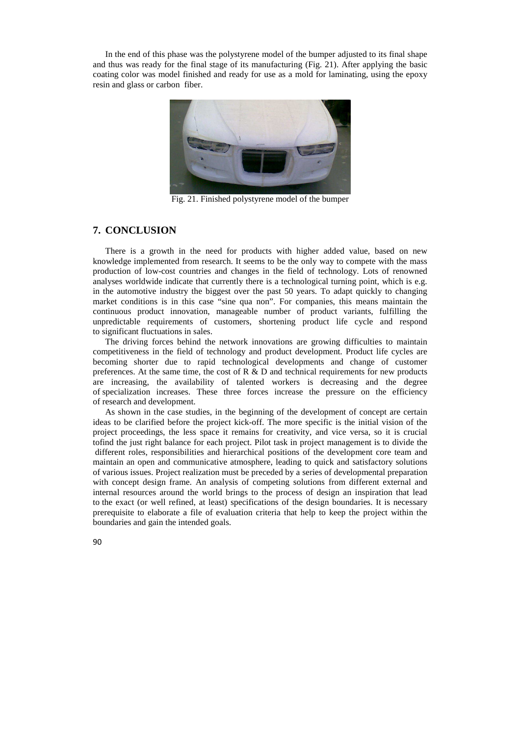In the end of this phase was the polystyrene model of the bumper adjusted to its final shape and thus was ready for the final stage of its manufacturing (Fig. 21). After applying the basic coating color was model finished and ready for use as a mold for laminating, using the epoxy resin and glass or carbon fiber.



Fig. 21. Finished polystyrene model of the bumper

### **7. CONCLUSION**

There is a growth in the need for products with higher added value, based on new knowledge implemented from research. It seems to be the only way to compete with the mass production of low-cost countries and changes in the field of technology. Lots of renowned analyses worldwide indicate that currently there is a technological turning point, which is e.g. in the automotive industry the biggest over the past 50 years. To adapt quickly to changing market conditions is in this case "sine qua non". For companies, this means maintain the continuous product innovation, manageable number of product variants, fulfilling the unpredictable requirements of customers, shortening product life cycle and respond to significant fluctuations in sales.

The driving forces behind the network innovations are growing difficulties to maintain competitiveness in the field of technology and product development. Product life cycles are becoming shorter due to rapid technological developments and change of customer preferences. At the same time, the cost of R  $\&$  D and technical requirements for new products are increasing, the availability of talented workers is decreasing and the degree of specialization increases. These three forces increase the pressure on the efficiency of research and development.

As shown in the case studies, in the beginning of the development of concept are certain ideas to be clarified before the project kick-off. The more specific is the initial vision of the project proceedings, the less space it remains for creativity, and vice versa, so it is crucial tofind the just right balance for each project. Pilot task in project management is to divide the different roles, responsibilities and hierarchical positions of the development core team and maintain an open and communicative atmosphere, leading to quick and satisfactory solutions of various issues. Project realization must be preceded by a series of developmental preparation with concept design frame. An analysis of competing solutions from different external and internal resources around the world brings to the process of design an inspiration that lead to the exact (or well refined, at least) specifications of the design boundaries. It is necessary prerequisite to elaborate a file of evaluation criteria that help to keep the project within the boundaries and gain the intended goals.